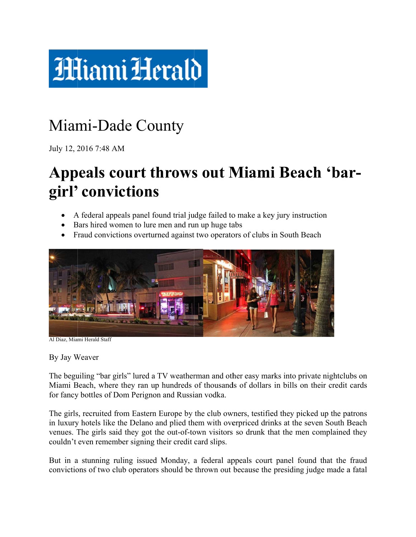

## Miami-Dade County

July 12, 2 2016 7:48 A AM

## Appeals court throws out Miami Beach 'bargirl' convictions

- A federal appeals panel found trial judge failed to make a key jury instruction
- Bars hired women to lure men and run up huge tabs
- Fraud convictions overturned against two operators of clubs in South Beach



Al Diaz, Miami Herald Staff

By Jay W Weaver

The beguiling "bar girls" lured a TV weatherman and other easy marks into private nightclubs on Miami Beach, where they ran up hundreds of thousands of dollars in bills on their credit cards for fancy bottles of Dom Perignon and Russian vodka.

The girls, recruited from Eastern Europe by the club owners, testified they picked up the patrons in luxury hotels like the Delano and plied them with overpriced drinks at the seven South Beach venues. The girls said they got the out-of-town visitors so drunk that the men complained they couldn't even remember signing their credit card slips.

But in a stunning ruling issued Monday, a federal appeals court panel found that the fraud convictions of two club operators should be thrown out because the presiding judge made a fatal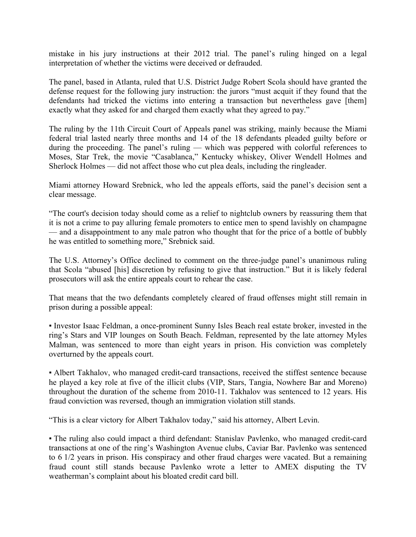mistake in his jury instructions at their 2012 trial. The panel's ruling hinged on a legal interpretation of whether the victims were deceived or defrauded.

The panel, based in Atlanta, ruled that U.S. District Judge Robert Scola should have granted the defense request for the following jury instruction: the jurors "must acquit if they found that the defendants had tricked the victims into entering a transaction but nevertheless gave [them] exactly what they asked for and charged them exactly what they agreed to pay."

The ruling by the 11th Circuit Court of Appeals panel was striking, mainly because the Miami federal trial lasted nearly three months and 14 of the 18 defendants pleaded guilty before or during the proceeding. The panel's ruling — which was peppered with colorful references to Moses, Star Trek, the movie "Casablanca," Kentucky whiskey, Oliver Wendell Holmes and Sherlock Holmes — did not affect those who cut plea deals, including the ringleader.

Miami attorney Howard Srebnick, who led the appeals efforts, said the panel's decision sent a clear message.

"The court's decision today should come as a relief to nightclub owners by reassuring them that it is not a crime to pay alluring female promoters to entice men to spend lavishly on champagne — and a disappointment to any male patron who thought that for the price of a bottle of bubbly he was entitled to something more," Srebnick said.

The U.S. Attorney's Office declined to comment on the three-judge panel's unanimous ruling that Scola "abused [his] discretion by refusing to give that instruction." But it is likely federal prosecutors will ask the entire appeals court to rehear the case.

That means that the two defendants completely cleared of fraud offenses might still remain in prison during a possible appeal:

▪ Investor Isaac Feldman, a once-prominent Sunny Isles Beach real estate broker, invested in the ring's Stars and VIP lounges on South Beach. Feldman, represented by the late attorney Myles Malman, was sentenced to more than eight years in prison. His conviction was completely overturned by the appeals court.

• Albert Takhalov, who managed credit-card transactions, received the stiffest sentence because he played a key role at five of the illicit clubs (VIP, Stars, Tangia, Nowhere Bar and Moreno) throughout the duration of the scheme from 2010-11. Takhalov was sentenced to 12 years. His fraud conviction was reversed, though an immigration violation still stands.

"This is a clear victory for Albert Takhalov today," said his attorney, Albert Levin.

▪ The ruling also could impact a third defendant: Stanislav Pavlenko, who managed credit-card transactions at one of the ring's Washington Avenue clubs, Caviar Bar. Pavlenko was sentenced to 6 1/2 years in prison. His conspiracy and other fraud charges were vacated. But a remaining fraud count still stands because Pavlenko wrote a letter to AMEX disputing the TV weatherman's complaint about his bloated credit card bill.